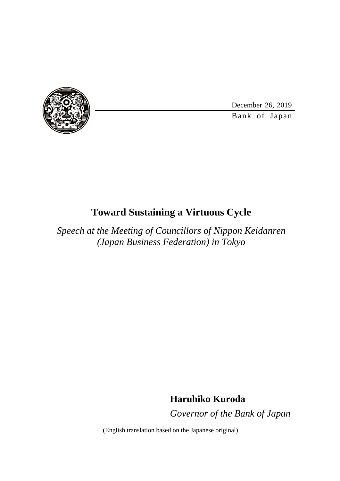

December 26, 2019

Bank of Japan

## **Toward Sustaining a Virtuous Cycle**

*Speech at the Meeting of Councillors of Nippon Keidanren (Japan Business Federation) in Tokyo*

**Haruhiko Kuroda**

*Governor of the Bank of Japan*

(English translation based on the Japanese original)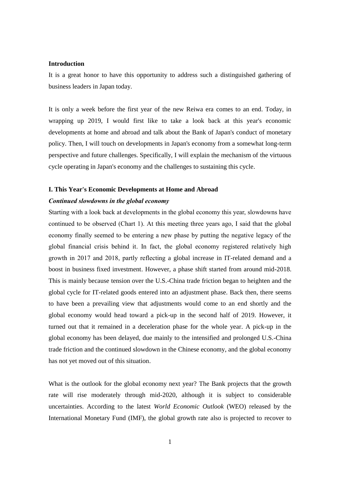### **Introduction**

It is a great honor to have this opportunity to address such a distinguished gathering of business leaders in Japan today.

It is only a week before the first year of the new Reiwa era comes to an end. Today, in wrapping up 2019, I would first like to take a look back at this year's economic developments at home and abroad and talk about the Bank of Japan's conduct of monetary policy. Then, I will touch on developments in Japan's economy from a somewhat long-term perspective and future challenges. Specifically, I will explain the mechanism of the virtuous cycle operating in Japan's economy and the challenges to sustaining this cycle.

### **I. This Year's Economic Developments at Home and Abroad**

### *Continued slowdowns in the global economy*

Starting with a look back at developments in the global economy this year, slowdowns have continued to be observed (Chart 1). At this meeting three years ago, I said that the global economy finally seemed to be entering a new phase by putting the negative legacy of the global financial crisis behind it. In fact, the global economy registered relatively high growth in 2017 and 2018, partly reflecting a global increase in IT-related demand and a boost in business fixed investment. However, a phase shift started from around mid-2018. This is mainly because tension over the U.S.-China trade friction began to heighten and the global cycle for IT-related goods entered into an adjustment phase. Back then, there seems to have been a prevailing view that adjustments would come to an end shortly and the global economy would head toward a pick-up in the second half of 2019. However, it turned out that it remained in a deceleration phase for the whole year. A pick-up in the global economy has been delayed, due mainly to the intensified and prolonged U.S.-China trade friction and the continued slowdown in the Chinese economy, and the global economy has not yet moved out of this situation.

What is the outlook for the global economy next year? The Bank projects that the growth rate will rise moderately through mid-2020, although it is subject to considerable uncertainties. According to the latest *World Economic Outlook* (WEO) released by the International Monetary Fund (IMF), the global growth rate also is projected to recover to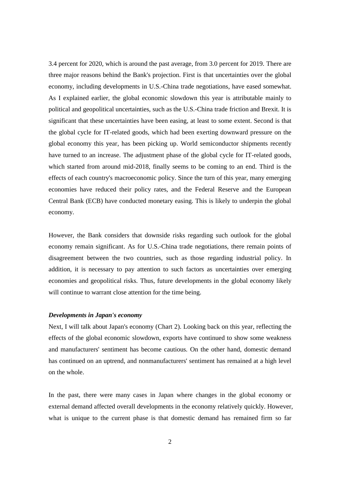3.4 percent for 2020, which is around the past average, from 3.0 percent for 2019. There are three major reasons behind the Bank's projection. First is that uncertainties over the global economy, including developments in U.S.-China trade negotiations, have eased somewhat. As I explained earlier, the global economic slowdown this year is attributable mainly to political and geopolitical uncertainties, such as the U.S.-China trade friction and Brexit. It is significant that these uncertainties have been easing, at least to some extent. Second is that the global cycle for IT-related goods, which had been exerting downward pressure on the global economy this year, has been picking up. World semiconductor shipments recently have turned to an increase. The adjustment phase of the global cycle for IT-related goods, which started from around mid-2018, finally seems to be coming to an end. Third is the effects of each country's macroeconomic policy. Since the turn of this year, many emerging economies have reduced their policy rates, and the Federal Reserve and the European Central Bank (ECB) have conducted monetary easing. This is likely to underpin the global economy.

However, the Bank considers that downside risks regarding such outlook for the global economy remain significant. As for U.S.-China trade negotiations, there remain points of disagreement between the two countries, such as those regarding industrial policy. In addition, it is necessary to pay attention to such factors as uncertainties over emerging economies and geopolitical risks. Thus, future developments in the global economy likely will continue to warrant close attention for the time being.

### *Developments in Japan's economy*

Next, I will talk about Japan's economy (Chart 2). Looking back on this year, reflecting the effects of the global economic slowdown, exports have continued to show some weakness and manufacturers' sentiment has become cautious. On the other hand, domestic demand has continued on an uptrend, and nonmanufacturers' sentiment has remained at a high level on the whole.

In the past, there were many cases in Japan where changes in the global economy or external demand affected overall developments in the economy relatively quickly. However, what is unique to the current phase is that domestic demand has remained firm so far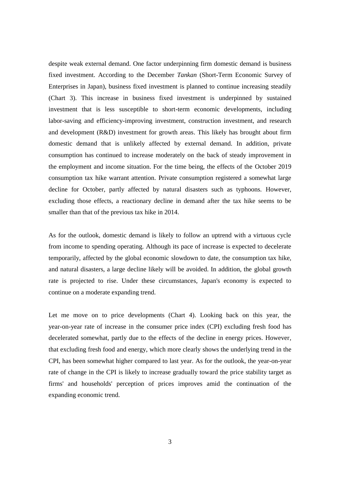despite weak external demand. One factor underpinning firm domestic demand is business fixed investment. According to the December *Tankan* (Short-Term Economic Survey of Enterprises in Japan), business fixed investment is planned to continue increasing steadily (Chart 3). This increase in business fixed investment is underpinned by sustained investment that is less susceptible to short-term economic developments, including labor-saving and efficiency-improving investment, construction investment, and research and development (R&D) investment for growth areas. This likely has brought about firm domestic demand that is unlikely affected by external demand. In addition, private consumption has continued to increase moderately on the back of steady improvement in the employment and income situation. For the time being, the effects of the October 2019 consumption tax hike warrant attention. Private consumption registered a somewhat large decline for October, partly affected by natural disasters such as typhoons. However, excluding those effects, a reactionary decline in demand after the tax hike seems to be smaller than that of the previous tax hike in 2014.

As for the outlook, domestic demand is likely to follow an uptrend with a virtuous cycle from income to spending operating. Although its pace of increase is expected to decelerate temporarily, affected by the global economic slowdown to date, the consumption tax hike, and natural disasters, a large decline likely will be avoided. In addition, the global growth rate is projected to rise. Under these circumstances, Japan's economy is expected to continue on a moderate expanding trend.

Let me move on to price developments (Chart 4). Looking back on this year, the year-on-year rate of increase in the consumer price index (CPI) excluding fresh food has decelerated somewhat, partly due to the effects of the decline in energy prices. However, that excluding fresh food and energy, which more clearly shows the underlying trend in the CPI, has been somewhat higher compared to last year. As for the outlook, the year-on-year rate of change in the CPI is likely to increase gradually toward the price stability target as firms' and households' perception of prices improves amid the continuation of the expanding economic trend.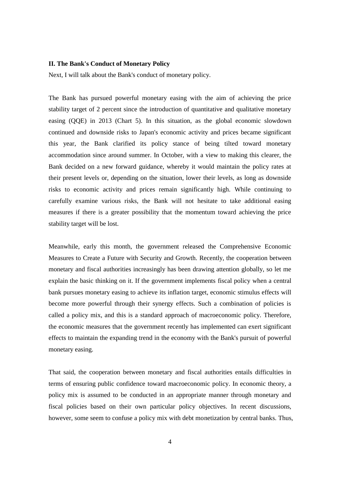### **II. The Bank's Conduct of Monetary Policy**

Next, I will talk about the Bank's conduct of monetary policy.

The Bank has pursued powerful monetary easing with the aim of achieving the price stability target of 2 percent since the introduction of quantitative and qualitative monetary easing (QQE) in 2013 (Chart 5). In this situation, as the global economic slowdown continued and downside risks to Japan's economic activity and prices became significant this year, the Bank clarified its policy stance of being tilted toward monetary accommodation since around summer. In October, with a view to making this clearer, the Bank decided on a new forward guidance, whereby it would maintain the policy rates at their present levels or, depending on the situation, lower their levels, as long as downside risks to economic activity and prices remain significantly high. While continuing to carefully examine various risks, the Bank will not hesitate to take additional easing measures if there is a greater possibility that the momentum toward achieving the price stability target will be lost.

Meanwhile, early this month, the government released the Comprehensive Economic Measures to Create a Future with Security and Growth. Recently, the cooperation between monetary and fiscal authorities increasingly has been drawing attention globally, so let me explain the basic thinking on it. If the government implements fiscal policy when a central bank pursues monetary easing to achieve its inflation target, economic stimulus effects will become more powerful through their synergy effects. Such a combination of policies is called a policy mix, and this is a standard approach of macroeconomic policy. Therefore, the economic measures that the government recently has implemented can exert significant effects to maintain the expanding trend in the economy with the Bank's pursuit of powerful monetary easing.

That said, the cooperation between monetary and fiscal authorities entails difficulties in terms of ensuring public confidence toward macroeconomic policy. In economic theory, a policy mix is assumed to be conducted in an appropriate manner through monetary and fiscal policies based on their own particular policy objectives. In recent discussions, however, some seem to confuse a policy mix with debt monetization by central banks. Thus,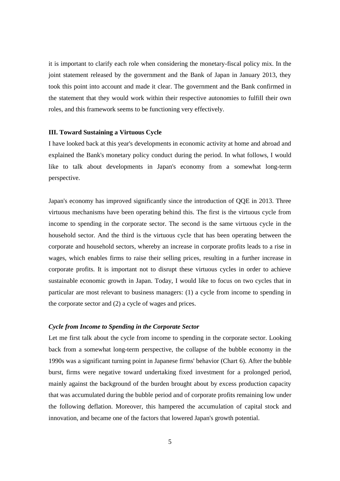it is important to clarify each role when considering the monetary-fiscal policy mix. In the joint statement released by the government and the Bank of Japan in January 2013, they took this point into account and made it clear. The government and the Bank confirmed in the statement that they would work within their respective autonomies to fulfill their own roles, and this framework seems to be functioning very effectively.

### **III. Toward Sustaining a Virtuous Cycle**

I have looked back at this year's developments in economic activity at home and abroad and explained the Bank's monetary policy conduct during the period. In what follows, I would like to talk about developments in Japan's economy from a somewhat long-term perspective.

Japan's economy has improved significantly since the introduction of QQE in 2013. Three virtuous mechanisms have been operating behind this. The first is the virtuous cycle from income to spending in the corporate sector. The second is the same virtuous cycle in the household sector. And the third is the virtuous cycle that has been operating between the corporate and household sectors, whereby an increase in corporate profits leads to a rise in wages, which enables firms to raise their selling prices, resulting in a further increase in corporate profits. It is important not to disrupt these virtuous cycles in order to achieve sustainable economic growth in Japan. Today, I would like to focus on two cycles that in particular are most relevant to business managers: (1) a cycle from income to spending in the corporate sector and (2) a cycle of wages and prices.

### *Cycle from Income to Spending in the Corporate Sector*

Let me first talk about the cycle from income to spending in the corporate sector. Looking back from a somewhat long-term perspective, the collapse of the bubble economy in the 1990s was a significant turning point in Japanese firms' behavior (Chart 6). After the bubble burst, firms were negative toward undertaking fixed investment for a prolonged period, mainly against the background of the burden brought about by excess production capacity that was accumulated during the bubble period and of corporate profits remaining low under the following deflation. Moreover, this hampered the accumulation of capital stock and innovation, and became one of the factors that lowered Japan's growth potential.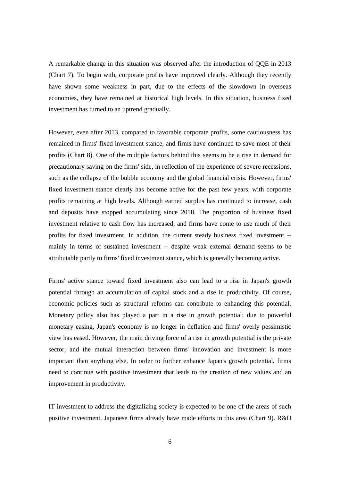A remarkable change in this situation was observed after the introduction of QQE in 2013 (Chart 7). To begin with, corporate profits have improved clearly. Although they recently have shown some weakness in part, due to the effects of the slowdown in overseas economies, they have remained at historical high levels. In this situation, business fixed investment has turned to an uptrend gradually.

However, even after 2013, compared to favorable corporate profits, some cautiousness has remained in firms' fixed investment stance, and firms have continued to save most of their profits (Chart 8). One of the multiple factors behind this seems to be a rise in demand for precautionary saving on the firms' side, in reflection of the experience of severe recessions, such as the collapse of the bubble economy and the global financial crisis. However, firms' fixed investment stance clearly has become active for the past few years, with corporate profits remaining at high levels. Although earned surplus has continued to increase, cash and deposits have stopped accumulating since 2018. The proportion of business fixed investment relative to cash flow has increased, and firms have come to use much of their profits for fixed investment. In addition, the current steady business fixed investment - mainly in terms of sustained investment -- despite weak external demand seems to be attributable partly to firms' fixed investment stance, which is generally becoming active.

Firms' active stance toward fixed investment also can lead to a rise in Japan's growth potential through an accumulation of capital stock and a rise in productivity. Of course, economic policies such as structural reforms can contribute to enhancing this potential. Monetary policy also has played a part in a rise in growth potential; due to powerful monetary easing, Japan's economy is no longer in deflation and firms' overly pessimistic view has eased. However, the main driving force of a rise in growth potential is the private sector, and the mutual interaction between firms' innovation and investment is more important than anything else. In order to further enhance Japan's growth potential, firms need to continue with positive investment that leads to the creation of new values and an improvement in productivity.

IT investment to address the digitalizing society is expected to be one of the areas of such positive investment. Japanese firms already have made efforts in this area (Chart 9). R&D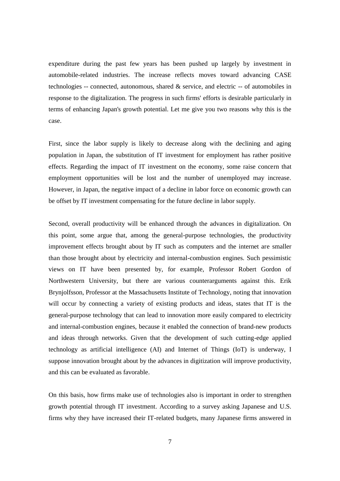expenditure during the past few years has been pushed up largely by investment in automobile-related industries. The increase reflects moves toward advancing CASE technologies -- connected, autonomous, shared & service, and electric -- of automobiles in response to the digitalization. The progress in such firms' efforts is desirable particularly in terms of enhancing Japan's growth potential. Let me give you two reasons why this is the case.

First, since the labor supply is likely to decrease along with the declining and aging population in Japan, the substitution of IT investment for employment has rather positive effects. Regarding the impact of IT investment on the economy, some raise concern that employment opportunities will be lost and the number of unemployed may increase. However, in Japan, the negative impact of a decline in labor force on economic growth can be offset by IT investment compensating for the future decline in labor supply.

Second, overall productivity will be enhanced through the advances in digitalization. On this point, some argue that, among the general-purpose technologies, the productivity improvement effects brought about by IT such as computers and the internet are smaller than those brought about by electricity and internal-combustion engines. Such pessimistic views on IT have been presented by, for example, Professor Robert Gordon of Northwestern University, but there are various counterarguments against this. Erik Brynjolfsson, Professor at the Massachusetts Institute of Technology, noting that innovation will occur by connecting a variety of existing products and ideas, states that IT is the general-purpose technology that can lead to innovation more easily compared to electricity and internal-combustion engines, because it enabled the connection of brand-new products and ideas through networks. Given that the development of such cutting-edge applied technology as artificial intelligence (AI) and Internet of Things (IoT) is underway, I suppose innovation brought about by the advances in digitization will improve productivity, and this can be evaluated as favorable.

On this basis, how firms make use of technologies also is important in order to strengthen growth potential through IT investment. According to a survey asking Japanese and U.S. firms why they have increased their IT-related budgets, many Japanese firms answered in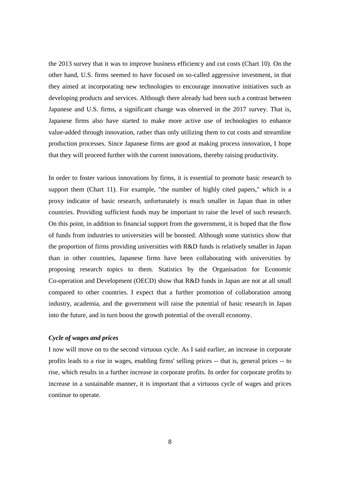the 2013 survey that it was to improve business efficiency and cut costs (Chart 10). On the other hand, U.S. firms seemed to have focused on so-called aggressive investment, in that they aimed at incorporating new technologies to encourage innovative initiatives such as developing products and services. Although there already had been such a contrast between Japanese and U.S. firms, a significant change was observed in the 2017 survey. That is, Japanese firms also have started to make more active use of technologies to enhance value-added through innovation, rather than only utilizing them to cut costs and streamline production processes. Since Japanese firms are good at making process innovation, I hope that they will proceed further with the current innovations, thereby raising productivity.

In order to foster various innovations by firms, it is essential to promote basic research to support them (Chart 11). For example, "the number of highly cited papers," which is a proxy indicator of basic research, unfortunately is much smaller in Japan than in other countries. Providing sufficient funds may be important to raise the level of such research. On this point, in addition to financial support from the government, it is hoped that the flow of funds from industries to universities will be boosted. Although some statistics show that the proportion of firms providing universities with R&D funds is relatively smaller in Japan than in other countries, Japanese firms have been collaborating with universities by proposing research topics to them. Statistics by the Organisation for Economic Co-operation and Development (OECD) show that R&D funds in Japan are not at all small compared to other countries. I expect that a further promotion of collaboration among industry, academia, and the government will raise the potential of basic research in Japan into the future, and in turn boost the growth potential of the overall economy.

### *Cycle of wages and prices*

I now will move on to the second virtuous cycle. As I said earlier, an increase in corporate profits leads to a rise in wages, enabling firms' selling prices -- that is, general prices -- to rise, which results in a further increase in corporate profits. In order for corporate profits to increase in a sustainable manner, it is important that a virtuous cycle of wages and prices continue to operate.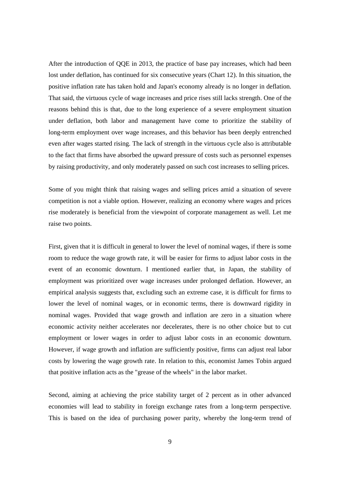After the introduction of QQE in 2013, the practice of base pay increases, which had been lost under deflation, has continued for six consecutive years (Chart 12). In this situation, the positive inflation rate has taken hold and Japan's economy already is no longer in deflation. That said, the virtuous cycle of wage increases and price rises still lacks strength. One of the reasons behind this is that, due to the long experience of a severe employment situation under deflation, both labor and management have come to prioritize the stability of long-term employment over wage increases, and this behavior has been deeply entrenched even after wages started rising. The lack of strength in the virtuous cycle also is attributable to the fact that firms have absorbed the upward pressure of costs such as personnel expenses by raising productivity, and only moderately passed on such cost increases to selling prices.

Some of you might think that raising wages and selling prices amid a situation of severe competition is not a viable option. However, realizing an economy where wages and prices rise moderately is beneficial from the viewpoint of corporate management as well. Let me raise two points.

First, given that it is difficult in general to lower the level of nominal wages, if there is some room to reduce the wage growth rate, it will be easier for firms to adjust labor costs in the event of an economic downturn. I mentioned earlier that, in Japan, the stability of employment was prioritized over wage increases under prolonged deflation. However, an empirical analysis suggests that, excluding such an extreme case, it is difficult for firms to lower the level of nominal wages, or in economic terms, there is downward rigidity in nominal wages. Provided that wage growth and inflation are zero in a situation where economic activity neither accelerates nor decelerates, there is no other choice but to cut employment or lower wages in order to adjust labor costs in an economic downturn. However, if wage growth and inflation are sufficiently positive, firms can adjust real labor costs by lowering the wage growth rate. In relation to this, economist James Tobin argued that positive inflation acts as the "grease of the wheels" in the labor market.

Second, aiming at achieving the price stability target of 2 percent as in other advanced economies will lead to stability in foreign exchange rates from a long-term perspective. This is based on the idea of purchasing power parity, whereby the long-term trend of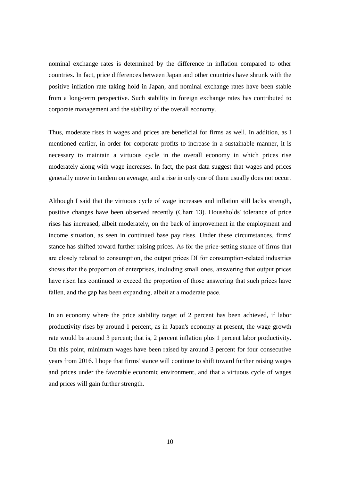nominal exchange rates is determined by the difference in inflation compared to other countries. In fact, price differences between Japan and other countries have shrunk with the positive inflation rate taking hold in Japan, and nominal exchange rates have been stable from a long-term perspective. Such stability in foreign exchange rates has contributed to corporate management and the stability of the overall economy.

Thus, moderate rises in wages and prices are beneficial for firms as well. In addition, as I mentioned earlier, in order for corporate profits to increase in a sustainable manner, it is necessary to maintain a virtuous cycle in the overall economy in which prices rise moderately along with wage increases. In fact, the past data suggest that wages and prices generally move in tandem on average, and a rise in only one of them usually does not occur.

Although I said that the virtuous cycle of wage increases and inflation still lacks strength, positive changes have been observed recently (Chart 13). Households' tolerance of price rises has increased, albeit moderately, on the back of improvement in the employment and income situation, as seen in continued base pay rises. Under these circumstances, firms' stance has shifted toward further raising prices. As for the price-setting stance of firms that are closely related to consumption, the output prices DI for consumption-related industries shows that the proportion of enterprises, including small ones, answering that output prices have risen has continued to exceed the proportion of those answering that such prices have fallen, and the gap has been expanding, albeit at a moderate pace.

In an economy where the price stability target of 2 percent has been achieved, if labor productivity rises by around 1 percent, as in Japan's economy at present, the wage growth rate would be around 3 percent; that is, 2 percent inflation plus 1 percent labor productivity. On this point, minimum wages have been raised by around 3 percent for four consecutive years from 2016. I hope that firms' stance will continue to shift toward further raising wages and prices under the favorable economic environment, and that a virtuous cycle of wages and prices will gain further strength.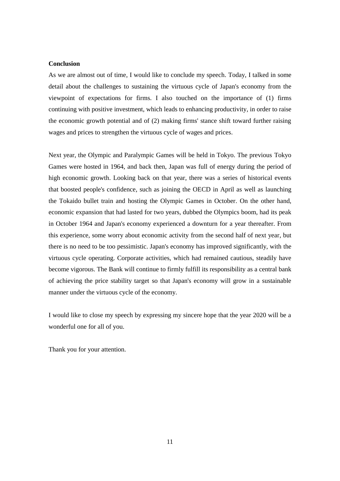### **Conclusion**

As we are almost out of time, I would like to conclude my speech. Today, I talked in some detail about the challenges to sustaining the virtuous cycle of Japan's economy from the viewpoint of expectations for firms. I also touched on the importance of (1) firms continuing with positive investment, which leads to enhancing productivity, in order to raise the economic growth potential and of (2) making firms' stance shift toward further raising wages and prices to strengthen the virtuous cycle of wages and prices.

Next year, the Olympic and Paralympic Games will be held in Tokyo. The previous Tokyo Games were hosted in 1964, and back then, Japan was full of energy during the period of high economic growth. Looking back on that year, there was a series of historical events that boosted people's confidence, such as joining the OECD in April as well as launching the Tokaido bullet train and hosting the Olympic Games in October. On the other hand, economic expansion that had lasted for two years, dubbed the Olympics boom, had its peak in October 1964 and Japan's economy experienced a downturn for a year thereafter. From this experience, some worry about economic activity from the second half of next year, but there is no need to be too pessimistic. Japan's economy has improved significantly, with the virtuous cycle operating. Corporate activities, which had remained cautious, steadily have become vigorous. The Bank will continue to firmly fulfill its responsibility as a central bank of achieving the price stability target so that Japan's economy will grow in a sustainable manner under the virtuous cycle of the economy.

I would like to close my speech by expressing my sincere hope that the year 2020 will be a wonderful one for all of you.

Thank you for your attention.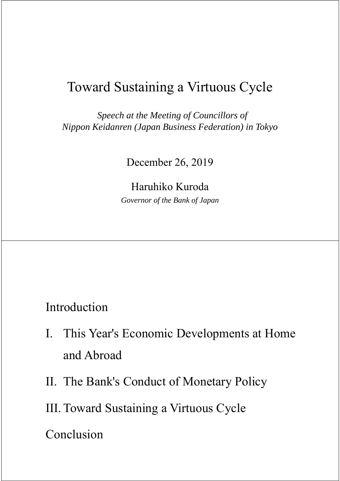## Toward Sustaining a Virtuous Cycle

*Speech at the Meeting of Councillors of Nippon Keidanren (Japan Business Federation) in Tokyo*

December 26, 2019

Haruhiko Kuroda *Governor of the Bank of Japan*

Introduction

- I. This Year's Economic Developments at Home and Abroad
- II. The Bank's Conduct of Monetary Policy

III. Toward Sustaining a Virtuous Cycle

Conclusion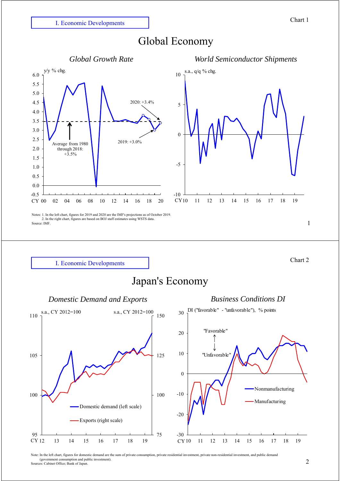I. Economic Developments

## Global Economy





1

Chart 2





Note: In the left chart, figures for domestic demand are the sum of private consumption, private residential investment, private non-residential investment, and public demand (government consumption and public investment). Sources: Cabinet Office; Bank of Japan.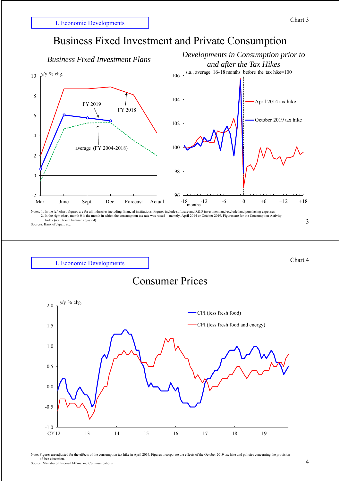Chart 4



Sources: Bank of Japan, etc.







Note: Figures are adjusted for the effects of the consumption tax hike in April 2014. Figures incorporate the effects of the October 2019 tax hike and policies concerning the provision of free education. Source: Ministry of Internal Affairs and Communications.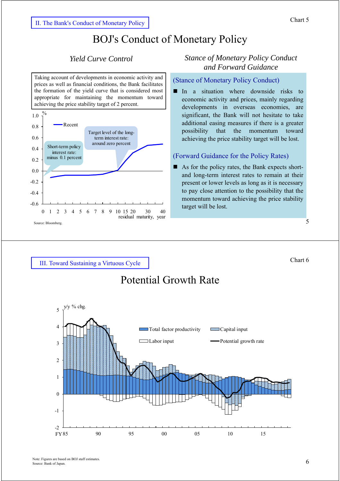## BOJ's Conduct of Monetary Policy

Taking account of developments in economic activity and prices as well as financial conditions, the Bank facilitates the formation of the yield curve that is considered most appropriate for maintaining the momentum toward achieving the price stability target of 2 percent.



## *Yield Curve Control Stance of Monetary Policy Conduct and Forward Guidance*

## (Stance of Monetary Policy Conduct)

In a situation where downside risks to economic activity and prices, mainly regarding developments in overseas economies, are significant, the Bank will not hesitate to take additional easing measures if there is a greater possibility that the momentum toward achieving the price stability target will be lost.

## (Forward Guidance for the Policy Rates)

As for the policy rates, the Bank expects shortand long-term interest rates to remain at their present or lower levels as long as it is necessary to pay close attention to the possibility that the momentum toward achieving the price stability target will be lost.

5

Chart 6

III. Toward Sustaining a Virtuous Cycle

## Potential Growth Rate

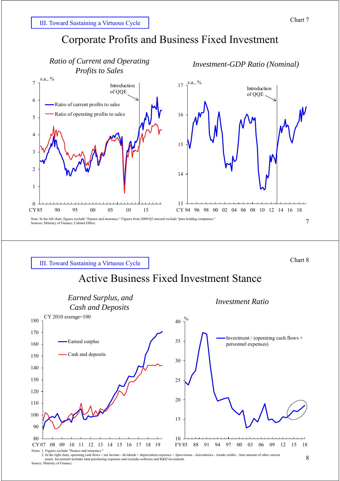

Chart 8

III. Toward Sustaining a Virtuous Cycle

## Active Business Fixed Investment Stance



Notes: 2. In the right chart, operating cash flows = net income - dividends + depreciation expenses + Δprovisions - Δinventories - Δtrade credits - Δnet amount of other current assets. Investment includes land purchasing expenses and excludes software and R&D investment. Source: Ministry of Finance.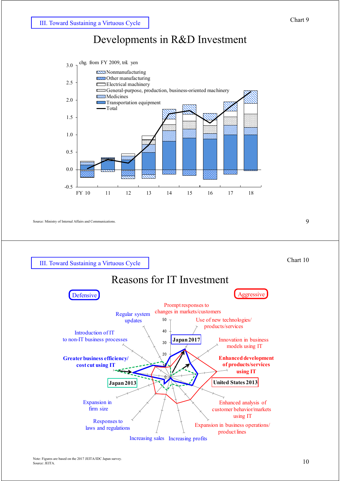## Developments in R&D Investment



Source: Ministry of Internal Affairs and Communications. 9



III. Toward Sustaining a Virtuous Cycle

# Reasons for IT Investment

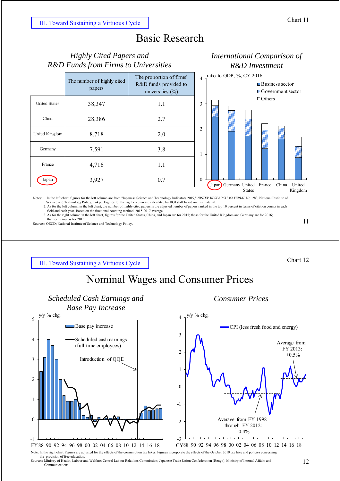## Basic Research

## $\theta$ 1  $\overline{2}$ 3 4 *R&D Funds from Firms to Universities* The number of highly cited papers The proportion of firms' R&D funds provided to universities (%) United States 38,347 1.1 China 28,386 2.7 United Kingdom  $8.718$  2.0 Germany 7,591 3.8 France | 4,716 | 1.1 Japan 3,927 0.7

*Highly Cited Papers and*



*International Comparison of R&D Investment*

Notes: 1. In the left chart, figures for the left column are from "Japanese Science and Technology Indicators 2019," NISTEP RESEARCH MATERIAL No. 283, National Institute of<br>Science and Technology Policy, Tokyo. Figures for

2. As for the left column in the left chart, the number of highly cited papers is the adjusted number of papers ranked in the top 10 percent in terms of citation counts in each<br>field and each year. Based on the fractional

that for France is for 2015.

Sources: OECD; National Institute of Science and Technology Policy.

11

III. Toward Sustaining a Virtuous Cycle

Chart 12

## Nominal Wages and Consumer Prices



Sources: Ministry of Health, Labour and Welfare; Central Labour Relations Commission; Japanese Trade Union Confederation (Rengo); Ministry of Internal Affairs and Communications.